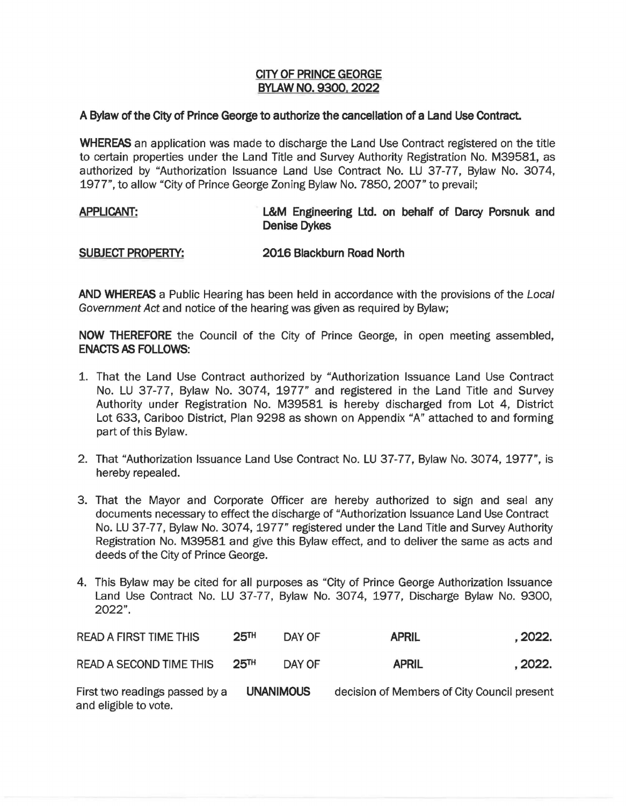## **CITY OF PRINCE GEORGE BYLAW NO. 9300. 2022**

## **A Bylaw of the City of Prince George to authorize the cancellation of a Land Use Contract.**

**WHEREAS** an application was made to discharge the Land Use Contract registered on the title to certain properties under the Land Title and Survey Authority Registration No. M39581, as authorized by "Authorization Issuance Land Use Contract No. LU 37-77, Bylaw No. 3074, 1977", to allow "City of Prince George Zoning Bylaw No. 7850, 2007" to prevail;

## **APPLICANT: L&M Engineering Ltd. on behalf of Darcy Porsnuk and Denise Dykes**

## **SUBJECT PROPERTY: 2016 Blackburn Road North**

**AND WHEREAS** a Public Hearing has been held in accordance with the provisions of the Local Government Act and notice of the hearing was given as required by Bylaw;

**NOW THEREFORE** the Council of the City of Prince George, in open meeting assembled, **ENACTS AS FOLLOWS:** 

- 1. That the Land Use Contract authorized by "Authorization Issuance Land Use Contract No. LU 37-77, Bylaw No. 3074, 1977" and registered in the Land Title and Survey Authority under Registration No. M39581 is hereby discharged from Lot 4, District Lot 633, Cariboo District, Plan 9298 as shown on Appendix "A" attached to and forming part of this Bylaw.
- 2. That "Authorization Issuance Land Use Contract No. LU 37-77, Bylaw No. 3074, 1977", is hereby repealed.
- 3. That the Mayor and Corporate Officer are hereby authorized to sign and seal any documents necessary to effect the discharge of "Authorization Issuance Land Use Contract No. LU 37-77, Bylaw No. 3074, 1977" registered under the Land Title and Survey Authority Registration No. M39581 and give this Bylaw effect, and to deliver the same as acts and deeds of the City of Prince George.
- 4. This Bylaw may be cited for all purposes as "City of Prince George Authorization Issuance Land Use Contract No. LU 37-77, Bylaw No. 3074, 1977, Discharge Bylaw No. 9300, 2022".

| READ A FIRST TIME THIS  | $25$ TH            | DAY OF | <b>APRIL</b> | . 2022. |
|-------------------------|--------------------|--------|--------------|---------|
| READ A SECOND TIME THIS | $25$ <sup>TH</sup> | DAY OF | <b>APRIL</b> | .2022.  |

First two readings passed by a **UNANIMOUS**  and eligible to vote. decision of Members of City Council present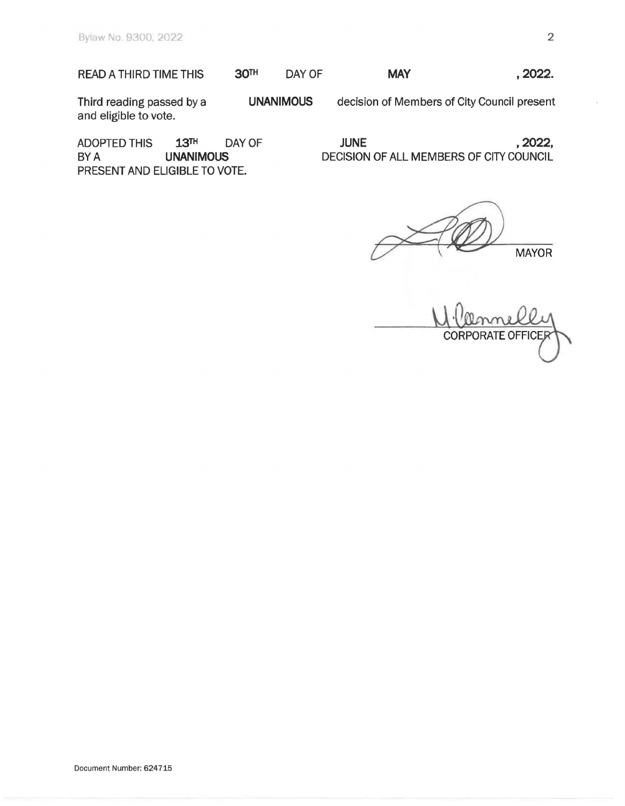Third reading passed by a and eligible to vote.

**UNANIMOUS** decision of Members of City Council present

PRESENT AND ELIGIBLE TO VOTE.

ADOPTED THIS **13<sup>TH</sup>** DAY OF **JUNE , 2022, <br>BY A <b>UNANIMOUS** DECISION OF ALL MEMBERS OF CITY COUNCIL **DECISION OF ALL MEMBERS OF CITY COUNCIL** 

**MAYOR**